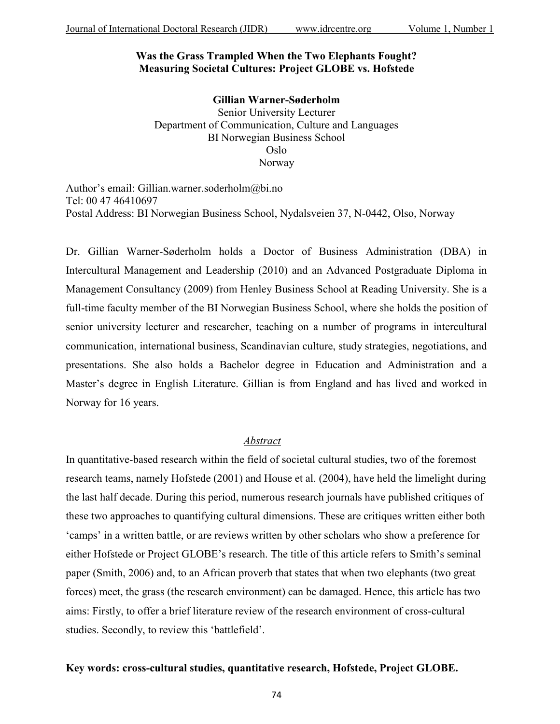## **Was the Grass Trampled When the Two Elephants Fought? Measuring Societal Cultures: Project GLOBE vs. Hofstede**

**Gillian Warner-Søderholm** Senior University Lecturer Department of Communication, Culture and Languages BI Norwegian Business School Oslo Norway

Author's email: Gillian.warner.soderholm@bi.no Tel: 00 47 46410697 Postal Address: BI Norwegian Business School, Nydalsveien 37, N-0442, Olso, Norway

Dr. Gillian Warner-Søderholm holds a Doctor of Business Administration (DBA) in Intercultural Management and Leadership (2010) and an Advanced Postgraduate Diploma in Management Consultancy (2009) from Henley Business School at Reading University. She is a full-time faculty member of the BI Norwegian Business School, where she holds the position of senior university lecturer and researcher, teaching on a number of programs in intercultural communication, international business, Scandinavian culture, study strategies, negotiations, and presentations. She also holds a Bachelor degree in Education and Administration and a Master's degree in English Literature. Gillian is from England and has lived and worked in Norway for 16 years.

### *Abstract*

In quantitative-based research within the field of societal cultural studies, two of the foremost research teams, namely Hofstede (2001) and House et al. (2004), have held the limelight during the last half decade. During this period, numerous research journals have published critiques of these two approaches to quantifying cultural dimensions. These are critiques written either both 'camps' in a written battle, or are reviews written by other scholars who show a preference for either Hofstede or Project GLOBE's research. The title of this article refers to Smith's seminal paper (Smith, 2006) and, to an African proverb that states that when two elephants (two great forces) meet, the grass (the research environment) can be damaged. Hence, this article has two aims: Firstly, to offer a brief literature review of the research environment of cross-cultural studies. Secondly, to review this 'battlefield'.

## **Key words: cross-cultural studies, quantitative research, Hofstede, Project GLOBE.**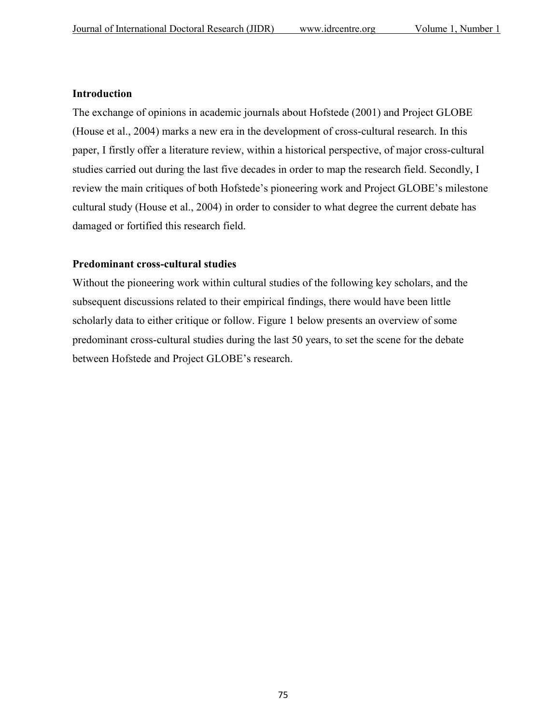## **Introduction**

The exchange of opinions in academic journals about Hofstede (2001) and Project GLOBE (House et al., 2004) marks a new era in the development of cross-cultural research. In this paper, I firstly offer a literature review, within a historical perspective, of major cross-cultural studies carried out during the last five decades in order to map the research field. Secondly, I review the main critiques of both Hofstede's pioneering work and Project GLOBE's milestone cultural study (House et al., 2004) in order to consider to what degree the current debate has damaged or fortified this research field.

## **Predominant cross-cultural studies**

Without the pioneering work within cultural studies of the following key scholars, and the subsequent discussions related to their empirical findings, there would have been little scholarly data to either critique or follow. Figure 1 below presents an overview of some predominant cross-cultural studies during the last 50 years, to set the scene for the debate between Hofstede and Project GLOBE's research.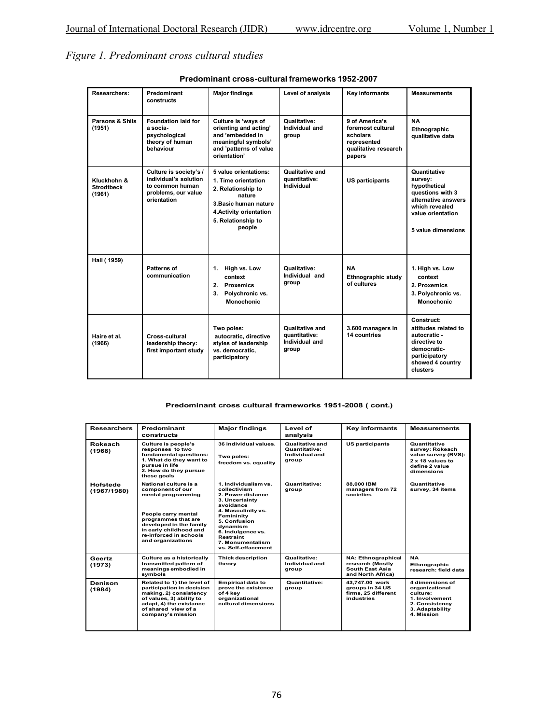## *Figure 1. Predominant cross cultural studies*

| Researchers:                               | Predominant<br>constructs                                                                                | <b>Major findings</b>                                                                                                                                            | Level of analysis                                           | <b>Key informants</b>                                                                            | <b>Measurements</b>                                                                                                                             |
|--------------------------------------------|----------------------------------------------------------------------------------------------------------|------------------------------------------------------------------------------------------------------------------------------------------------------------------|-------------------------------------------------------------|--------------------------------------------------------------------------------------------------|-------------------------------------------------------------------------------------------------------------------------------------------------|
| Parsons & Shils<br>(1951)                  | <b>Foundation laid for</b><br>a socia-<br>psychological<br>theory of human<br>behaviour                  | Culture is 'ways of<br>orienting and acting'<br>and 'embedded in<br>meaningful symbols'<br>and 'patterns of value<br>orientation'                                | Qualitative:<br>Individual and<br>group                     | 9 of America's<br>foremost cultural<br>scholars<br>represented<br>qualitative research<br>papers | <b>NA</b><br>Ethnographic<br>qualitative data                                                                                                   |
| Kluckhohn &<br><b>Strodtbeck</b><br>(1961) | Culture is society's /<br>individual's solution<br>to common human<br>problems, our value<br>orientation | 5 value orientations:<br>1. Time orientation<br>2. Relationship to<br>nature<br>3. Basic human nature<br>4. Activity orientation<br>5. Relationship to<br>people | Qualitative and<br>quantitative:<br>Individual              | <b>US participants</b>                                                                           | Quantitative<br>survey:<br>hypothetical<br>questions with 3<br>alternative answers<br>which revealed<br>value orientation<br>5 value dimensions |
| Hall (1959)                                | Patterns of<br>communication                                                                             | 1. High vs. Low<br>context<br>2. Proxemics<br>3.<br>Polychronic vs.<br><b>Monochonic</b>                                                                         | Qualitative:<br>Individual and<br>group                     | <b>NA</b><br>Ethnographic study<br>of cultures                                                   | 1. High vs. Low<br>context<br>2. Proxemics<br>3. Polychronic vs.<br><b>Monochonic</b>                                                           |
| Haire et al.<br>(1966)                     | Cross-cultural<br>leadership theory:<br>first important study                                            | Two poles:<br>autocratic, directive<br>styles of leadership<br>vs. democratic,<br>participatory                                                                  | Qualitative and<br>quantitative:<br>Individual and<br>group | 3.600 managers in<br>14 countries                                                                | Construct:<br>attitudes related to<br>autocratic -<br>directive to<br>democratic-<br>participatory<br>showed 4 country<br>clusters              |

**Predominant cross-cultural frameworks 1952-2007**

#### **Predominant cross cultural frameworks 1951-2008 ( cont.)**

| <b>Researchers</b>      | Predominant<br>constructs                                                                                                                                                                                         | <b>Major findings</b>                                                                                                                                                                                                                 | Level of<br>analysis                                        | <b>Key informants</b>                                                                 | <b>Measurements</b>                                                                                                |
|-------------------------|-------------------------------------------------------------------------------------------------------------------------------------------------------------------------------------------------------------------|---------------------------------------------------------------------------------------------------------------------------------------------------------------------------------------------------------------------------------------|-------------------------------------------------------------|---------------------------------------------------------------------------------------|--------------------------------------------------------------------------------------------------------------------|
| Rokeach<br>(1968)       | Culture is people's<br>responses to two<br>fundamental questions:<br>1. What do they want to<br>pursue in life<br>2. How do they pursue<br>these goals                                                            | 36 individual values.<br>Two poles:<br>freedom vs. equality                                                                                                                                                                           | Qualitative and<br>Quantitative:<br>Individual and<br>group | <b>US participants</b>                                                                | Quantitative<br>survey: Rokeach<br>value survey (RVS):<br>2 x 18 values to<br>define 2 value<br>dimensions         |
| Hofstede<br>(1967/1980) | National culture is a<br>component of our<br>mental programming<br>People carry mental<br>programmes that are<br>developed in the family<br>in early childhood and<br>re-inforced in schools<br>and organizations | 1. Individualism vs.<br>collectivism<br>2. Power distance<br>3. Uncertainty<br>avoidance<br>4. Masculinity vs.<br>Femininity<br>5. Confusion<br>dvnamism<br>6. Indulgence vs.<br>Restraint<br>7. Monumentalism<br>vs. Self-effacement | Quantitative:<br>group                                      | 88.000 IBM<br>managers from 72<br>societies                                           | Quantitative<br>survey, 34 items                                                                                   |
| Geertz<br>(1973)        | Culture as a historically<br>transmitted pattern of<br>meanings embodied in<br>symbols                                                                                                                            | <b>Thick description</b><br>theory                                                                                                                                                                                                    | Qualitative:<br>Individual and<br>group                     | <b>NA: Ethnographical</b><br>research (Mostly<br>South East Asia<br>and North Africa) | <b>NA</b><br><b>Ethnographic</b><br>research: field data                                                           |
| Denison<br>(1984)       | Related to 1) the level of<br>participation in decision<br>making, 2) consistency<br>of values, 3) ability to<br>adapt, 4) the existance<br>of shared view of a<br>company's mission                              | <b>Empirical data to</b><br>prove the existence<br>of 4 kev<br>organizational<br>cultural dimensions                                                                                                                                  | Quantitative:<br>group                                      | 43.747.00 work<br>groups in 34 US<br>firms. 25 different<br>industries                | 4 dimensions of<br>organizational<br>culture:<br>1. Involvement<br>2. Consistency<br>3. Adaptability<br>4. Mission |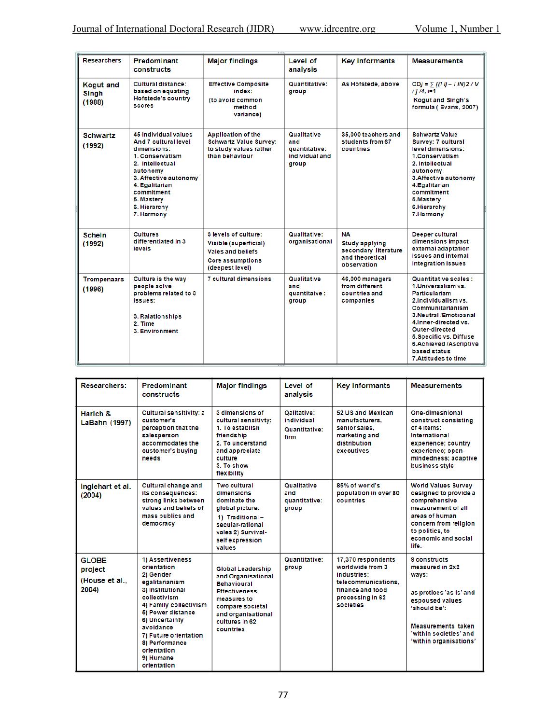| <b>Researchers</b>                         | Predominant<br>constructs                                                                                                                                                                                          | <b>Major findings</b>                                                                                                   | Level of<br>analysis                                                  | <b>Key informants</b>                                                                        | <b>Measurements</b>                                                                                                                                                                                                                                                                                   |
|--------------------------------------------|--------------------------------------------------------------------------------------------------------------------------------------------------------------------------------------------------------------------|-------------------------------------------------------------------------------------------------------------------------|-----------------------------------------------------------------------|----------------------------------------------------------------------------------------------|-------------------------------------------------------------------------------------------------------------------------------------------------------------------------------------------------------------------------------------------------------------------------------------------------------|
| <b>Kogut and</b><br><b>Singh</b><br>(1988) | <b>Cultural distance:</b><br>based on equating<br><b>Hofstede's country</b><br><b>scores</b>                                                                                                                       | <b>Effective Composite</b><br>index:<br>(to avoid common<br>method<br>variance)                                         | <b>Quantitative:</b><br>group                                         | As Hofstede, above                                                                           | $CDj = \sum [(l \ ij - 1 \ iN)2 / V]$<br>$11/4.1 = 1$<br><b>Kogut and Singh's</b><br>formula (Evans, 2007)                                                                                                                                                                                            |
| <b>Schwartz</b><br>(1992)                  | 45 individual values<br>And 7 cultural level<br>dimensions:<br>1. Conservatism<br>2. intellectual<br>autonomy<br>3. Affective autonomy<br>4. Egalitarian<br>commitment<br>5. Mastery<br>6. Hierarchy<br>7. Harmony | <b>Application of the</b><br><b>Schwartz Value Survey:</b><br>to study values rather<br>than behaviour                  | <b>Qualitative</b><br>and<br>quantitative:<br>individual and<br>group | 35,000 teachers and<br>students from 67<br>countries                                         | <b>Schwartz Value</b><br>Survey: 7 cultural<br>level dimensions:<br>1.Conservatism<br>2. Intellectual<br>autonomy<br>3. Affective autonomy<br>4. Egalitarian<br>commitment<br>5.Mastery<br>6. Hierarchy<br>7. Harmony                                                                                 |
| <b>Schein</b><br>(1992)                    | <b>Cultures</b><br>differentiated in 3<br>levels                                                                                                                                                                   | 3 levels of culture:<br>Visible (superficial)<br><b>Vales and beliefs</b><br><b>Core assumptions</b><br>(deepest level) | Qualitative:<br>organisational                                        | <b>NA</b><br><b>Study applying</b><br>secondary literature<br>and theoretical<br>observation | Deeper cultural<br>dimensions impact<br>external adaptation<br>issues and internal<br>integration issues                                                                                                                                                                                              |
| <b>Trompenaars</b><br>(1996)               | Culture is the way<br>people solve<br>problems related to 3<br>issues:<br>3. Ralationships<br>2. Time<br>3. Environment                                                                                            | <b>7 cultural dimensions</b>                                                                                            | <b>Qualitative</b><br>and<br>quantitaive:<br>group                    | 46,000 managers<br>from different<br>countries and<br>companies                              | <b>Quantitative scales:</b><br>1. Universalism vs.<br><b>Particularism</b><br>2. Individualism vs.<br>Communitarianism<br>3. Neutral /Emotioanal<br>4. Inner-directed vs.<br><b>Outer-directed</b><br>5. Specific vs. Diffuse<br>6.Achieved /Ascriptive<br>based status<br><b>7.Attitudes to time</b> |

| <b>Researchers:</b>                                | Predominant<br>constructs                                                                                                                                                                                                                                              | <b>Major findings</b>                                                                                                                                                                | Level of<br>analysis                                | <b>Key informants</b>                                                                                                             | <b>Measurements</b>                                                                                                                                                                      |
|----------------------------------------------------|------------------------------------------------------------------------------------------------------------------------------------------------------------------------------------------------------------------------------------------------------------------------|--------------------------------------------------------------------------------------------------------------------------------------------------------------------------------------|-----------------------------------------------------|-----------------------------------------------------------------------------------------------------------------------------------|------------------------------------------------------------------------------------------------------------------------------------------------------------------------------------------|
| Harich &<br>LaBahn (1997)                          | Cultural sensitivity: a<br>customer's<br>perception that the<br>salesperson<br>accommodates the<br>customer's buying<br>needs                                                                                                                                          | 3 dimensions of<br>cultural sensitivty:<br>1. To establish<br>friendship<br>2. To understand<br>and appreciate<br>culture<br>3. To show<br>flexibility                               | Qalitative:<br>individual<br>Quantitative:<br>firm  | 52 US and Mexican<br>manufacturers.<br>senior sales.<br>marketing and<br>distribution<br>executives                               | One-dimesnional<br>construct consisting<br>of 4 items:<br>International<br>experience; country<br>experienec; open-<br>mindedness; adaptive<br>business style                            |
| Inglehart et al.<br>(2004)                         | Cultural change and<br>its consequences:<br>strong links between<br>values and beliefs of<br>mass publics and<br>democracy                                                                                                                                             | <b>Two cultural</b><br>dimensions<br>dominate the<br>global picture:<br>1) Traditional-<br>secular-rational<br>vales 2) Survival-<br>self expression<br>values                       | <b>Qualitative</b><br>and<br>quantitative:<br>group | 85% of world's<br>population in over 80<br>countries                                                                              | <b>World Values Survey</b><br>designed to provide a<br>comprehensive<br>measurement of all<br>areas of human<br>concern from religion<br>to politics, to<br>economic and social<br>life. |
| <b>GLOBE</b><br>project<br>(House et al.,<br>2004) | 1) Assertiveness<br>orientation<br>2) Gender<br>egalitarianism<br>3) Institutional<br>collectivism<br>4) Family collectivism<br>5) Power distance<br>6) Uncertainty<br>avoidance<br>7) Future orientation<br>8) Performance<br>orientation<br>9) Humane<br>orientation | <b>Global Leadership</b><br>and Organisational<br><b>Behavioural</b><br><b>Effectiveness</b><br>measures to<br>compare societal<br>and organisational<br>cultures in 62<br>countries | Quantitative:<br>group                              | 17,370 respondents<br>worldwide from 3<br>industries:<br>telecommunications.<br>finance and food<br>processing in 62<br>societies | 9 constructs<br>measured in 2x2<br>ways:<br>as protices 'as is' and<br>espoused values<br>'should be':<br>Measurements taken<br>'within societies' and<br>'within organisations'         |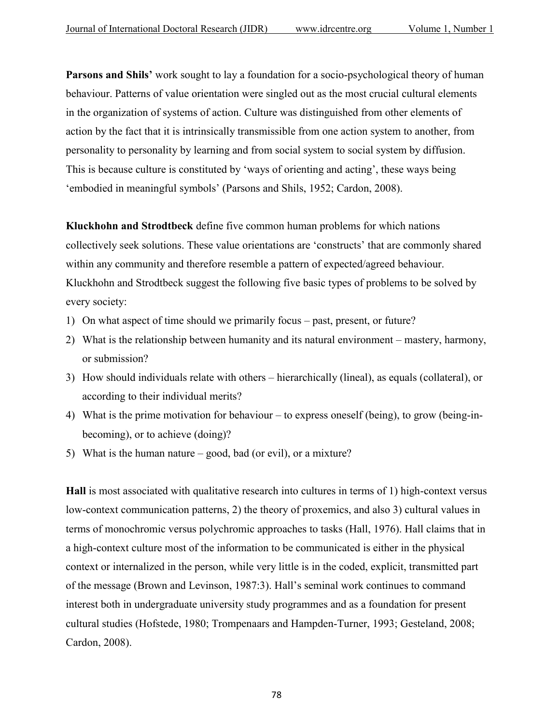**Parsons and Shils'** work sought to lay a foundation for a socio-psychological theory of human behaviour. Patterns of value orientation were singled out as the most crucial cultural elements in the organization of systems of action. Culture was distinguished from other elements of action by the fact that it is intrinsically transmissible from one action system to another, from personality to personality by learning and from social system to social system by diffusion. This is because culture is constituted by 'ways of orienting and acting', these ways being 'embodied in meaningful symbols' (Parsons and Shils, 1952; Cardon, 2008).

**Kluckhohn and Strodtbeck** define five common human problems for which nations collectively seek solutions. These value orientations are 'constructs' that are commonly shared within any community and therefore resemble a pattern of expected/agreed behaviour. Kluckhohn and Strodtbeck suggest the following five basic types of problems to be solved by every society:

- 1) On what aspect of time should we primarily focus past, present, or future?
- 2) What is the relationship between humanity and its natural environment mastery, harmony, or submission?
- 3) How should individuals relate with others hierarchically (lineal), as equals (collateral), or according to their individual merits?
- 4) What is the prime motivation for behaviour to express oneself (being), to grow (being-inbecoming), or to achieve (doing)?
- 5) What is the human nature good, bad (or evil), or a mixture?

**Hall** is most associated with qualitative research into cultures in terms of 1) high-context versus low-context communication patterns, 2) the theory of proxemics, and also 3) cultural values in terms of monochromic versus polychromic approaches to tasks (Hall, 1976). Hall claims that in a high-context culture most of the information to be communicated is either in the physical context or internalized in the person, while very little is in the coded, explicit, transmitted part of the message (Brown and Levinson, 1987:3). Hall's seminal work continues to command interest both in undergraduate university study programmes and as a foundation for present cultural studies (Hofstede, 1980; Trompenaars and Hampden-Turner, 1993; Gesteland, 2008; Cardon, 2008).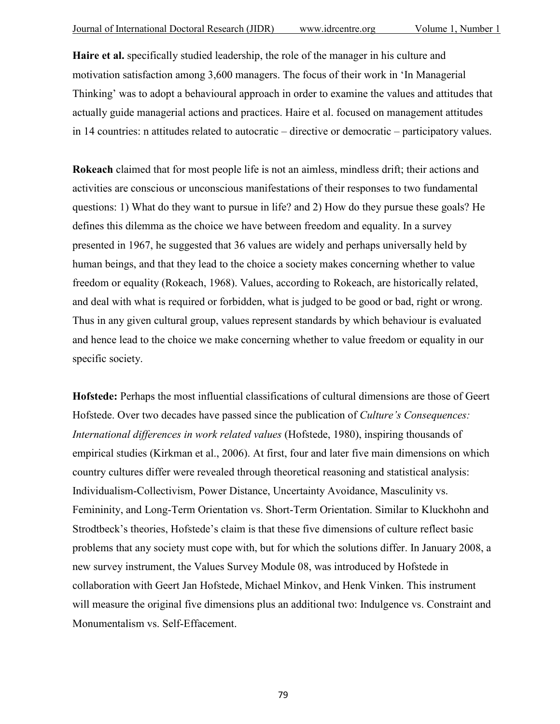**Haire et al.** specifically studied leadership, the role of the manager in his culture and motivation satisfaction among 3,600 managers. The focus of their work in 'In Managerial Thinking' was to adopt a behavioural approach in order to examine the values and attitudes that actually guide managerial actions and practices. Haire et al. focused on management attitudes in 14 countries: n attitudes related to autocratic – directive or democratic – participatory values.

**Rokeach** claimed that for most people life is not an aimless, mindless drift; their actions and activities are conscious or unconscious manifestations of their responses to two fundamental questions: 1) What do they want to pursue in life? and 2) How do they pursue these goals? He defines this dilemma as the choice we have between freedom and equality. In a survey presented in 1967, he suggested that 36 values are widely and perhaps universally held by human beings, and that they lead to the choice a society makes concerning whether to value freedom or equality (Rokeach, 1968). Values, according to Rokeach, are historically related, and deal with what is required or forbidden, what is judged to be good or bad, right or wrong. Thus in any given cultural group, values represent standards by which behaviour is evaluated and hence lead to the choice we make concerning whether to value freedom or equality in our specific society.

**Hofstede:** Perhaps the most influential classifications of cultural dimensions are those of Geert Hofstede. Over two decades have passed since the publication of *Culture's Consequences: International differences in work related values* (Hofstede, 1980), inspiring thousands of empirical studies (Kirkman et al., 2006). At first, four and later five main dimensions on which country cultures differ were revealed through theoretical reasoning and statistical analysis: Individualism-Collectivism, Power Distance, Uncertainty Avoidance, Masculinity vs. Femininity, and Long-Term Orientation vs. Short-Term Orientation. Similar to Kluckhohn and Strodtbeck's theories, Hofstede's claim is that these five dimensions of culture reflect basic problems that any society must cope with, but for which the solutions differ. In January 2008, a new survey instrument, the Values Survey Module 08, was introduced by Hofstede in collaboration with Geert Jan Hofstede, Michael Minkov, and Henk Vinken. This instrument will measure the original five dimensions plus an additional two: Indulgence vs. Constraint and Monumentalism vs. Self-Effacement.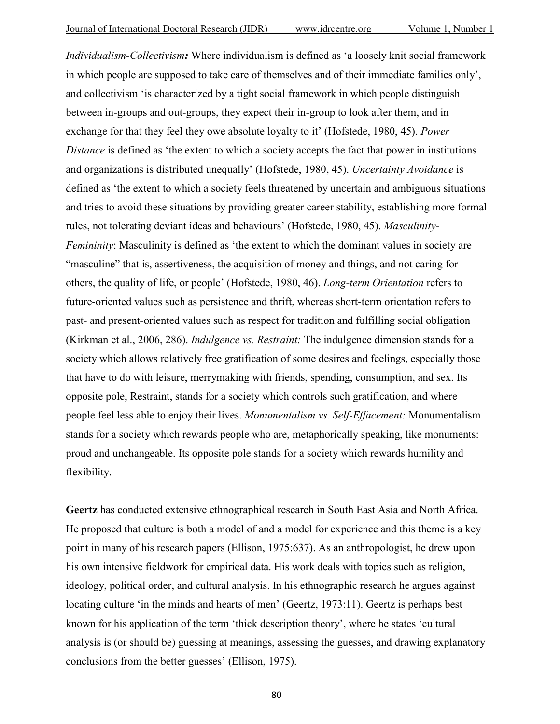*Individualism-Collectivism:* Where individualism is defined as 'a loosely knit social framework in which people are supposed to take care of themselves and of their immediate families only', and collectivism 'is characterized by a tight social framework in which people distinguish between in-groups and out-groups, they expect their in-group to look after them, and in exchange for that they feel they owe absolute loyalty to it' (Hofstede, 1980, 45). *Power Distance* is defined as 'the extent to which a society accepts the fact that power in institutions and organizations is distributed unequally' (Hofstede, 1980, 45). *Uncertainty Avoidance* is defined as 'the extent to which a society feels threatened by uncertain and ambiguous situations and tries to avoid these situations by providing greater career stability, establishing more formal rules, not tolerating deviant ideas and behaviours' (Hofstede, 1980, 45). *Masculinity-Femininity*: Masculinity is defined as 'the extent to which the dominant values in society are "masculine" that is, assertiveness, the acquisition of money and things, and not caring for others, the quality of life, or people' (Hofstede, 1980, 46). *Long-term Orientation* refers to future-oriented values such as persistence and thrift, whereas short-term orientation refers to past- and present-oriented values such as respect for tradition and fulfilling social obligation (Kirkman et al., 2006, 286). *Indulgence vs. Restraint:* The indulgence dimension stands for a society which allows relatively free gratification of some desires and feelings, especially those that have to do with leisure, merrymaking with friends, spending, consumption, and sex. Its opposite pole, Restraint, stands for a society which controls such gratification, and where people feel less able to enjoy their lives. *Monumentalism vs. Self-Effacement:* Monumentalism stands for a society which rewards people who are, metaphorically speaking, like monuments: proud and unchangeable. Its opposite pole stands for a society which rewards humility and flexibility.

**Geertz** has conducted extensive ethnographical research in South East Asia and North Africa. He proposed that culture is both a model of and a model for experience and this theme is a key point in many of his research papers (Ellison, 1975:637). As an anthropologist, he drew upon his own intensive fieldwork for empirical data. His work deals with topics such as religion, ideology, political order, and cultural analysis. In his ethnographic research he argues against locating culture 'in the minds and hearts of men' (Geertz, 1973:11). Geertz is perhaps best known for his application of the term 'thick description theory', where he states 'cultural analysis is (or should be) guessing at meanings, assessing the guesses, and drawing explanatory conclusions from the better guesses' (Ellison, 1975).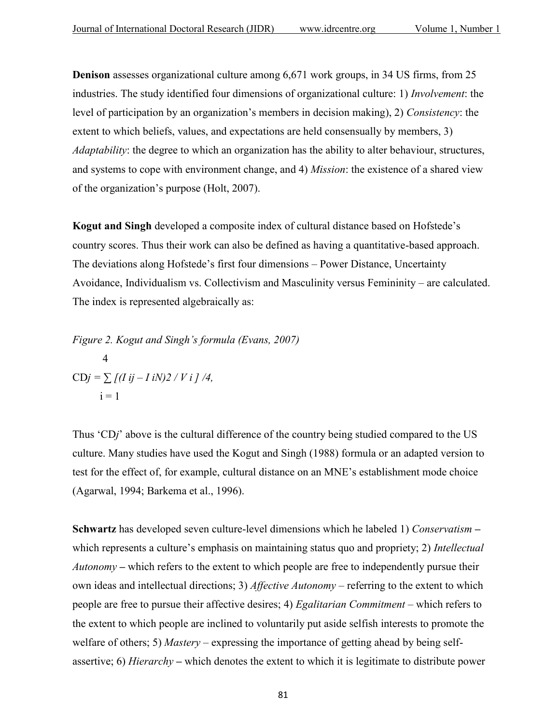**Denison** assesses organizational culture among 6,671 work groups, in 34 US firms, from 25 industries. The study identified four dimensions of organizational culture: 1) *Involvement*: the level of participation by an organization's members in decision making), 2) *Consistency*: the extent to which beliefs, values, and expectations are held consensually by members, 3) *Adaptability*: the degree to which an organization has the ability to alter behaviour, structures, and systems to cope with environment change, and 4) *Mission*: the existence of a shared view of the organization's purpose (Holt, 2007).

**Kogut and Singh** developed a composite index of cultural distance based on Hofstede's country scores. Thus their work can also be defined as having a quantitative-based approach. The deviations along Hofstede's first four dimensions – Power Distance, Uncertainty Avoidance, Individualism vs. Collectivism and Masculinity versus Femininity – are calculated. The index is represented algebraically as:

*Figure 2. Kogut and Singh's formula (Evans, 2007)* 4  $CDj = \sum (I \, ij - I \, iN)2 / V \, i \, j \, /4,$  $i = 1$ 

Thus 'CD*j*' above is the cultural difference of the country being studied compared to the US culture. Many studies have used the Kogut and Singh (1988) formula or an adapted version to test for the effect of, for example, cultural distance on an MNE's establishment mode choice (Agarwal, 1994; Barkema et al., 1996).

**Schwartz** has developed seven culture-level dimensions which he labeled 1) *Conservatism* **–** which represents a culture's emphasis on maintaining status quo and propriety; 2) *Intellectual Autonomy* – which refers to the extent to which people are free to independently pursue their own ideas and intellectual directions; 3) *Affective Autonomy –* referring to the extent to which people are free to pursue their affective desires; 4) *Egalitarian Commitment –* which refers to the extent to which people are inclined to voluntarily put aside selfish interests to promote the welfare of others; 5) *Mastery –* expressing the importance of getting ahead by being selfassertive; 6) *Hierarchy* **–** which denotes the extent to which it is legitimate to distribute power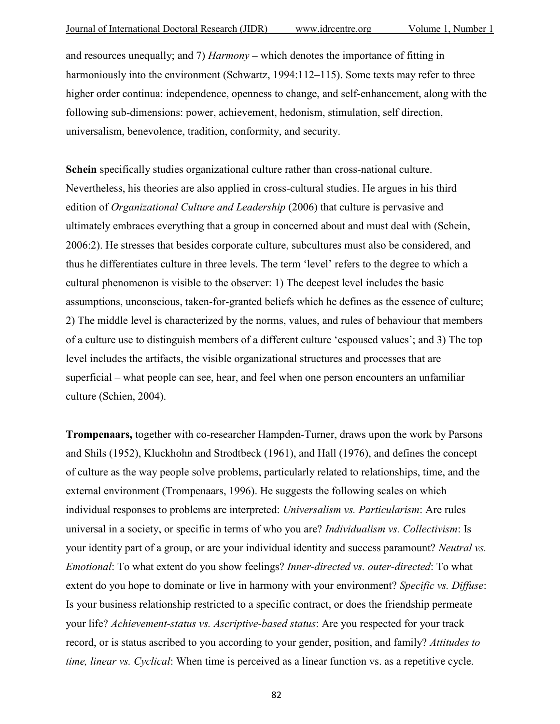and resources unequally; and 7) *Harmony* **–** which denotes the importance of fitting in harmoniously into the environment (Schwartz, 1994:112–115). Some texts may refer to three higher order continua: independence, openness to change, and self-enhancement, along with the following sub-dimensions: power, achievement, hedonism, stimulation, self direction, universalism, benevolence, tradition, conformity, and security.

**Schein** specifically studies organizational culture rather than cross-national culture. Nevertheless, his theories are also applied in cross-cultural studies. He argues in his third edition of *Organizational Culture and Leadership* (2006) that culture is pervasive and ultimately embraces everything that a group in concerned about and must deal with (Schein, 2006:2). He stresses that besides corporate culture, subcultures must also be considered, and thus he differentiates culture in three levels. The term 'level' refers to the degree to which a cultural phenomenon is visible to the observer: 1) The deepest level includes the basic assumptions, unconscious, taken-for-granted beliefs which he defines as the essence of culture; 2) The middle level is characterized by the norms, values, and rules of behaviour that members of a culture use to distinguish members of a different culture 'espoused values'; and 3) The top level includes the artifacts, the visible organizational structures and processes that are superficial – what people can see, hear, and feel when one person encounters an unfamiliar culture (Schien, 2004).

**Trompenaars,** together with co-researcher Hampden-Turner, draws upon the work by Parsons and Shils (1952), Kluckhohn and Strodtbeck (1961), and Hall (1976), and defines the concept of culture as the way people solve problems, particularly related to relationships, time, and the external environment (Trompenaars, 1996). He suggests the following scales on which individual responses to problems are interpreted: *Universalism vs. Particularism*: Are rules universal in a society, or specific in terms of who you are? *Individualism vs. Collectivism*: Is your identity part of a group, or are your individual identity and success paramount? *Neutral vs. Emotional*: To what extent do you show feelings? *Inner-directed vs. outer-directed*: To what extent do you hope to dominate or live in harmony with your environment? *Specific vs. Diffuse*: Is your business relationship restricted to a specific contract, or does the friendship permeate your life? *Achievement-status vs. Ascriptive-based status*: Are you respected for your track record, or is status ascribed to you according to your gender, position, and family? *Attitudes to time, linear vs. Cyclical*: When time is perceived as a linear function vs. as a repetitive cycle.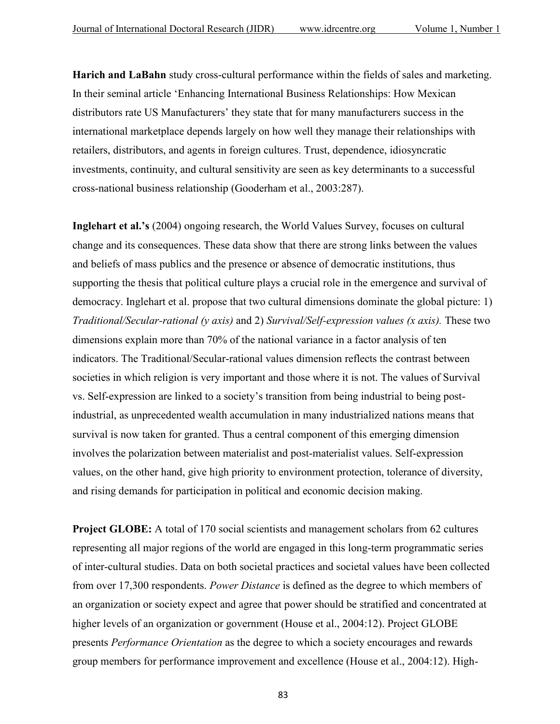**Harich and LaBahn** study cross-cultural performance within the fields of sales and marketing. In their seminal article 'Enhancing International Business Relationships: How Mexican distributors rate US Manufacturers' they state that for many manufacturers success in the international marketplace depends largely on how well they manage their relationships with retailers, distributors, and agents in foreign cultures. Trust, dependence, idiosyncratic investments, continuity, and cultural sensitivity are seen as key determinants to a successful cross-national business relationship (Gooderham et al., 2003:287).

**Inglehart et al.'s** (2004) ongoing research, the World Values Survey, focuses on cultural change and its consequences. These data show that there are strong links between the values and beliefs of mass publics and the presence or absence of democratic institutions, thus supporting the thesis that political culture plays a crucial role in the emergence and survival of democracy. Inglehart et al. propose that two cultural dimensions dominate the global picture: 1) *Traditional/Secular-rational (y axis)* and 2) *Survival/Self-expression values (x axis).* These two dimensions explain more than 70% of the national variance in a factor analysis of ten indicators. The Traditional/Secular-rational values dimension reflects the contrast between societies in which religion is very important and those where it is not. The values of Survival vs. Self-expression are linked to a society's transition from being industrial to being postindustrial, as unprecedented wealth accumulation in many industrialized nations means that survival is now taken for granted. Thus a central component of this emerging dimension involves the polarization between materialist and post-materialist values. Self-expression values, on the other hand, give high priority to environment protection, tolerance of diversity, and rising demands for participation in political and economic decision making.

**Project GLOBE:** A total of 170 social scientists and management scholars from 62 cultures representing all major regions of the world are engaged in this long-term programmatic series of inter-cultural studies. Data on both societal practices and societal values have been collected from over 17,300 respondents. *Power Distance* is defined as the degree to which members of an organization or society expect and agree that power should be stratified and concentrated at higher levels of an organization or government (House et al., 2004:12). Project GLOBE presents *Performance Orientation* as the degree to which a society encourages and rewards group members for performance improvement and excellence (House et al., 2004:12). High-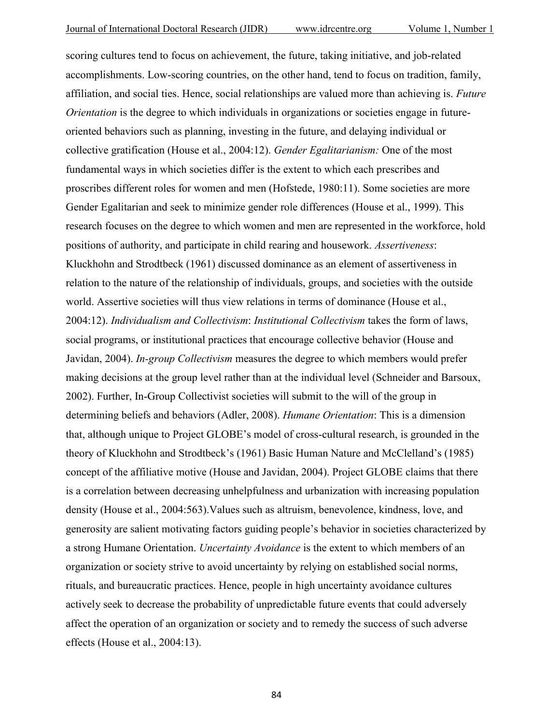scoring cultures tend to focus on achievement, the future, taking initiative, and job-related accomplishments. Low-scoring countries, on the other hand, tend to focus on tradition, family, affiliation, and social ties. Hence, social relationships are valued more than achieving is. *Future Orientation* is the degree to which individuals in organizations or societies engage in futureoriented behaviors such as planning, investing in the future, and delaying individual or collective gratification (House et al., 2004:12). *Gender Egalitarianism:* One of the most fundamental ways in which societies differ is the extent to which each prescribes and proscribes different roles for women and men (Hofstede, 1980:11). Some societies are more Gender Egalitarian and seek to minimize gender role differences (House et al., 1999). This research focuses on the degree to which women and men are represented in the workforce, hold positions of authority, and participate in child rearing and housework. *Assertiveness*: Kluckhohn and Strodtbeck (1961) discussed dominance as an element of assertiveness in relation to the nature of the relationship of individuals, groups, and societies with the outside world. Assertive societies will thus view relations in terms of dominance (House et al., 2004:12). *Individualism and Collectivism*: *Institutional Collectivism* takes the form of laws, social programs, or institutional practices that encourage collective behavior (House and Javidan, 2004). *In-group Collectivism* measures the degree to which members would prefer making decisions at the group level rather than at the individual level (Schneider and Barsoux, 2002). Further, In-Group Collectivist societies will submit to the will of the group in determining beliefs and behaviors (Adler, 2008). *Humane Orientation*: This is a dimension that, although unique to Project GLOBE's model of cross-cultural research, is grounded in the theory of Kluckhohn and Strodtbeck's (1961) Basic Human Nature and McClelland's (1985) concept of the affiliative motive (House and Javidan, 2004). Project GLOBE claims that there is a correlation between decreasing unhelpfulness and urbanization with increasing population density (House et al., 2004:563).Values such as altruism, benevolence, kindness, love, and generosity are salient motivating factors guiding people's behavior in societies characterized by a strong Humane Orientation. *Uncertainty Avoidance* is the extent to which members of an organization or society strive to avoid uncertainty by relying on established social norms, rituals, and bureaucratic practices. Hence, people in high uncertainty avoidance cultures actively seek to decrease the probability of unpredictable future events that could adversely affect the operation of an organization or society and to remedy the success of such adverse effects (House et al., 2004:13).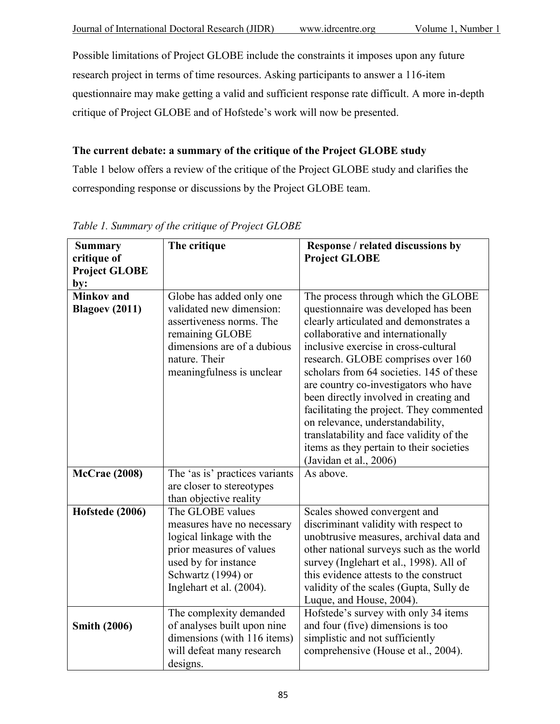Possible limitations of Project GLOBE include the constraints it imposes upon any future research project in terms of time resources. Asking participants to answer a 116-item questionnaire may make getting a valid and sufficient response rate difficult. A more in-depth critique of Project GLOBE and of Hofstede's work will now be presented.

# **The current debate: a summary of the critique of the Project GLOBE study**

Table 1 below offers a review of the critique of the Project GLOBE study and clarifies the corresponding response or discussions by the Project GLOBE team.

| <b>Summary</b><br>critique of              | The critique                                                                                                                                                                     | Response / related discussions by<br><b>Project GLOBE</b>                                                                                                                                                                                                                                                                                                                                                                                                                                                                                                                 |
|--------------------------------------------|----------------------------------------------------------------------------------------------------------------------------------------------------------------------------------|---------------------------------------------------------------------------------------------------------------------------------------------------------------------------------------------------------------------------------------------------------------------------------------------------------------------------------------------------------------------------------------------------------------------------------------------------------------------------------------------------------------------------------------------------------------------------|
| <b>Project GLOBE</b><br>by:                |                                                                                                                                                                                  |                                                                                                                                                                                                                                                                                                                                                                                                                                                                                                                                                                           |
| <b>Minkov</b> and<br><b>Blagoev (2011)</b> | Globe has added only one<br>validated new dimension:<br>assertiveness norms. The<br>remaining GLOBE<br>dimensions are of a dubious<br>nature. Their<br>meaningfulness is unclear | The process through which the GLOBE<br>questionnaire was developed has been<br>clearly articulated and demonstrates a<br>collaborative and internationally<br>inclusive exercise in cross-cultural<br>research. GLOBE comprises over 160<br>scholars from 64 societies. 145 of these<br>are country co-investigators who have<br>been directly involved in creating and<br>facilitating the project. They commented<br>on relevance, understandability,<br>translatability and face validity of the<br>items as they pertain to their societies<br>(Javidan et al., 2006) |
| <b>McCrae</b> (2008)                       | The 'as is' practices variants<br>are closer to stereotypes<br>than objective reality                                                                                            | As above.                                                                                                                                                                                                                                                                                                                                                                                                                                                                                                                                                                 |
| Hofstede (2006)                            | The GLOBE values<br>measures have no necessary<br>logical linkage with the<br>prior measures of values<br>used by for instance<br>Schwartz (1994) or<br>Inglehart et al. (2004). | Scales showed convergent and<br>discriminant validity with respect to<br>unobtrusive measures, archival data and<br>other national surveys such as the world<br>survey (Inglehart et al., 1998). All of<br>this evidence attests to the construct<br>validity of the scales (Gupta, Sully de<br>Luque, and House, 2004).                                                                                                                                                                                                                                                  |
| <b>Smith (2006)</b>                        | The complexity demanded<br>of analyses built upon nine<br>dimensions (with 116 items)<br>will defeat many research<br>designs.                                                   | Hofstede's survey with only 34 items<br>and four (five) dimensions is too<br>simplistic and not sufficiently<br>comprehensive (House et al., 2004).                                                                                                                                                                                                                                                                                                                                                                                                                       |

# *Table 1. Summary of the critique of Project GLOBE*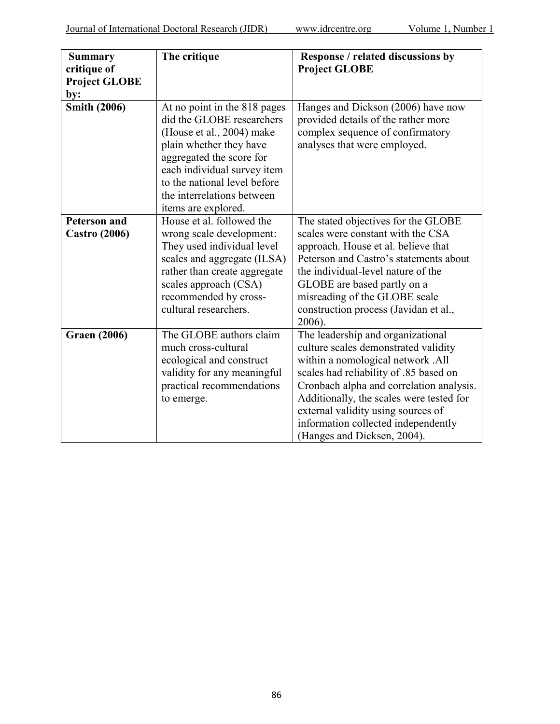| <b>Summary</b><br>critique of<br><b>Project GLOBE</b><br>by: | The critique                                                                                                                                                                                                                                                      | Response / related discussions by<br><b>Project GLOBE</b>                                                                                                                                                                                                                                                                                                    |
|--------------------------------------------------------------|-------------------------------------------------------------------------------------------------------------------------------------------------------------------------------------------------------------------------------------------------------------------|--------------------------------------------------------------------------------------------------------------------------------------------------------------------------------------------------------------------------------------------------------------------------------------------------------------------------------------------------------------|
| <b>Smith (2006)</b>                                          | At no point in the 818 pages<br>did the GLOBE researchers<br>(House et al., 2004) make<br>plain whether they have<br>aggregated the score for<br>each individual survey item<br>to the national level before<br>the interrelations between<br>items are explored. | Hanges and Dickson (2006) have now<br>provided details of the rather more<br>complex sequence of confirmatory<br>analyses that were employed.                                                                                                                                                                                                                |
| <b>Peterson and</b><br><b>Castro (2006)</b>                  | House et al. followed the<br>wrong scale development:<br>They used individual level<br>scales and aggregate (ILSA)<br>rather than create aggregate<br>scales approach (CSA)<br>recommended by cross-<br>cultural researchers.                                     | The stated objectives for the GLOBE<br>scales were constant with the CSA<br>approach. House et al. believe that<br>Peterson and Castro's statements about<br>the individual-level nature of the<br>GLOBE are based partly on a<br>misreading of the GLOBE scale<br>construction process (Javidan et al.,<br>$2006$ ).                                        |
| <b>Graen (2006)</b>                                          | The GLOBE authors claim<br>much cross-cultural<br>ecological and construct<br>validity for any meaningful<br>practical recommendations<br>to emerge.                                                                                                              | The leadership and organizational<br>culture scales demonstrated validity<br>within a nomological network .All<br>scales had reliability of .85 based on<br>Cronbach alpha and correlation analysis.<br>Additionally, the scales were tested for<br>external validity using sources of<br>information collected independently<br>(Hanges and Dicksen, 2004). |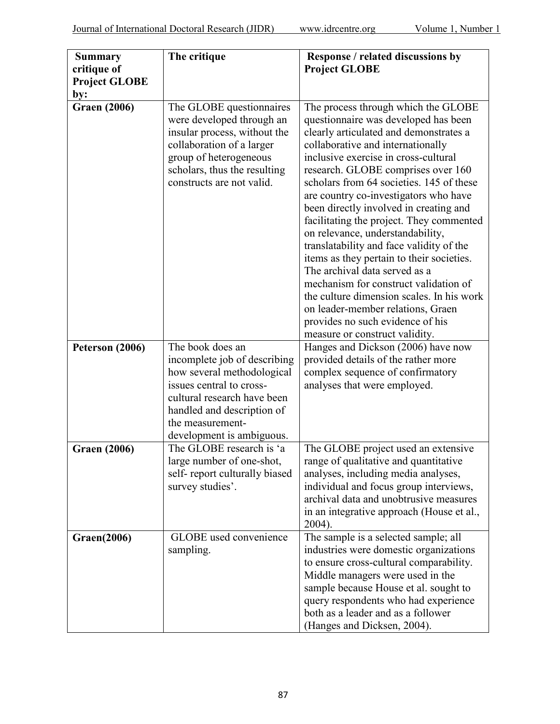| <b>Summary</b><br>critique of<br><b>Project GLOBE</b><br>by: | The critique                                                                                                                                                                                                             | Response / related discussions by<br><b>Project GLOBE</b>                                                                                                                                                                                                                                                                                                                                                                                                                                                                                                                                                                                                                                                                                                                          |
|--------------------------------------------------------------|--------------------------------------------------------------------------------------------------------------------------------------------------------------------------------------------------------------------------|------------------------------------------------------------------------------------------------------------------------------------------------------------------------------------------------------------------------------------------------------------------------------------------------------------------------------------------------------------------------------------------------------------------------------------------------------------------------------------------------------------------------------------------------------------------------------------------------------------------------------------------------------------------------------------------------------------------------------------------------------------------------------------|
| <b>Graen (2006)</b>                                          | The GLOBE questionnaires<br>were developed through an<br>insular process, without the<br>collaboration of a larger<br>group of heterogeneous<br>scholars, thus the resulting<br>constructs are not valid.                | The process through which the GLOBE<br>questionnaire was developed has been<br>clearly articulated and demonstrates a<br>collaborative and internationally<br>inclusive exercise in cross-cultural<br>research. GLOBE comprises over 160<br>scholars from 64 societies. 145 of these<br>are country co-investigators who have<br>been directly involved in creating and<br>facilitating the project. They commented<br>on relevance, understandability,<br>translatability and face validity of the<br>items as they pertain to their societies.<br>The archival data served as a<br>mechanism for construct validation of<br>the culture dimension scales. In his work<br>on leader-member relations, Graen<br>provides no such evidence of his<br>measure or construct validity. |
| Peterson (2006)                                              | The book does an<br>incomplete job of describing<br>how several methodological<br>issues central to cross-<br>cultural research have been<br>handled and description of<br>the measurement-<br>development is ambiguous. | Hanges and Dickson (2006) have now<br>provided details of the rather more<br>complex sequence of confirmatory<br>analyses that were employed.                                                                                                                                                                                                                                                                                                                                                                                                                                                                                                                                                                                                                                      |
| <b>Graen (2006)</b>                                          | The GLOBE research is 'a<br>large number of one-shot,<br>self-report culturally biased<br>survey studies'.                                                                                                               | The GLOBE project used an extensive<br>range of qualitative and quantitative<br>analyses, including media analyses,<br>individual and focus group interviews,<br>archival data and unobtrusive measures<br>in an integrative approach (House et al.,<br>2004).                                                                                                                                                                                                                                                                                                                                                                                                                                                                                                                     |
| <b>Graen(2006)</b>                                           | GLOBE used convenience<br>sampling.                                                                                                                                                                                      | The sample is a selected sample; all<br>industries were domestic organizations<br>to ensure cross-cultural comparability.<br>Middle managers were used in the<br>sample because House et al. sought to<br>query respondents who had experience<br>both as a leader and as a follower<br>(Hanges and Dicksen, 2004).                                                                                                                                                                                                                                                                                                                                                                                                                                                                |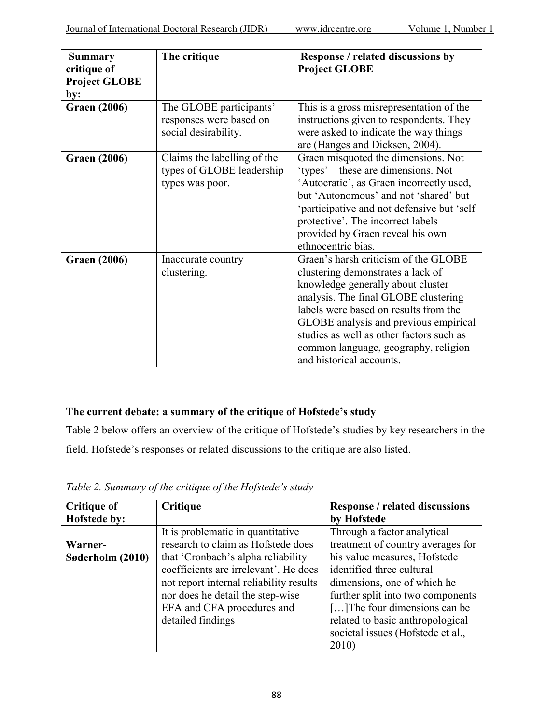| <b>Summary</b><br>critique of<br><b>Project GLOBE</b><br>by: | The critique                                                                | <b>Response / related discussions by</b><br><b>Project GLOBE</b>                                                                                                                                                                                                                                                                                         |
|--------------------------------------------------------------|-----------------------------------------------------------------------------|----------------------------------------------------------------------------------------------------------------------------------------------------------------------------------------------------------------------------------------------------------------------------------------------------------------------------------------------------------|
| <b>Graen (2006)</b>                                          | The GLOBE participants'<br>responses were based on<br>social desirability.  | This is a gross misrepresentation of the<br>instructions given to respondents. They<br>were asked to indicate the way things<br>are (Hanges and Dicksen, 2004).                                                                                                                                                                                          |
| <b>Graen (2006)</b>                                          | Claims the labelling of the<br>types of GLOBE leadership<br>types was poor. | Graen misquoted the dimensions. Not<br>'types' – these are dimensions. Not<br>'Autocratic', as Graen incorrectly used,<br>but 'Autonomous' and not 'shared' but<br>'participative and not defensive but 'self<br>protective'. The incorrect labels<br>provided by Graen reveal his own<br>ethnocentric bias.                                             |
| <b>Graen (2006)</b>                                          | Inaccurate country<br>clustering.                                           | Graen's harsh criticism of the GLOBE<br>clustering demonstrates a lack of<br>knowledge generally about cluster<br>analysis. The final GLOBE clustering<br>labels were based on results from the<br>GLOBE analysis and previous empirical<br>studies as well as other factors such as<br>common language, geography, religion<br>and historical accounts. |

## **The current debate: a summary of the critique of Hofstede's study**

Table 2 below offers an overview of the critique of Hofstede's studies by key researchers in the field. Hofstede's responses or related discussions to the critique are also listed.

| <b>Critique of</b> | Critique                                | <b>Response / related discussions</b> |
|--------------------|-----------------------------------------|---------------------------------------|
| Hofstede by:       |                                         | by Hofstede                           |
|                    | It is problematic in quantitative       | Through a factor analytical           |
| Warner-            | research to claim as Hofstede does      | treatment of country averages for     |
| Søderholm (2010)   | that 'Cronbach's alpha reliability      | his value measures, Hofstede          |
|                    | coefficients are irrelevant'. He does   | identified three cultural             |
|                    | not report internal reliability results | dimensions, one of which he           |
|                    | nor does he detail the step-wise        | further split into two components     |
|                    | EFA and CFA procedures and              | [] The four dimensions can be         |
|                    | detailed findings                       | related to basic anthropological      |
|                    |                                         | societal issues (Hofstede et al.,     |
|                    |                                         | 2010)                                 |

*Table 2. Summary of the critique of the Hofstede's study*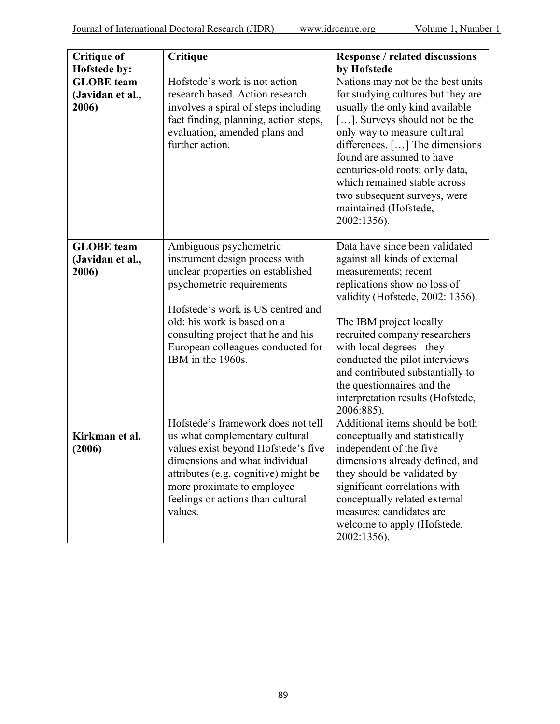| <b>Critique of</b>                                             | Critique                                                                                                                                                                                                                                                                                       | <b>Response / related discussions</b>                                                                                                                                                                                                                                                                                                                                                                       |
|----------------------------------------------------------------|------------------------------------------------------------------------------------------------------------------------------------------------------------------------------------------------------------------------------------------------------------------------------------------------|-------------------------------------------------------------------------------------------------------------------------------------------------------------------------------------------------------------------------------------------------------------------------------------------------------------------------------------------------------------------------------------------------------------|
| Hofstede by:<br><b>GLOBE</b> team<br>(Javidan et al.,<br>2006) | Hofstede's work is not action<br>research based. Action research<br>involves a spiral of steps including<br>fact finding, planning, action steps,<br>evaluation, amended plans and<br>further action.                                                                                          | by Hofstede<br>Nations may not be the best units<br>for studying cultures but they are<br>usually the only kind available<br>[]. Surveys should not be the<br>only way to measure cultural<br>differences. [] The dimensions<br>found are assumed to have<br>centuries-old roots; only data,<br>which remained stable across<br>two subsequent surveys, were<br>maintained (Hofstede,<br>2002:1356).        |
| <b>GLOBE</b> team<br>(Javidan et al.,<br>2006)                 | Ambiguous psychometric<br>instrument design process with<br>unclear properties on established<br>psychometric requirements<br>Hofstede's work is US centred and<br>old: his work is based on a<br>consulting project that he and his<br>European colleagues conducted for<br>IBM in the 1960s. | Data have since been validated<br>against all kinds of external<br>measurements; recent<br>replications show no loss of<br>validity (Hofstede, 2002: 1356).<br>The IBM project locally<br>recruited company researchers<br>with local degrees - they<br>conducted the pilot interviews<br>and contributed substantially to<br>the questionnaires and the<br>interpretation results (Hofstede,<br>2006:885). |
| Kirkman et al.<br>(2006)                                       | Hofstede's framework does not tell<br>us what complementary cultural<br>values exist beyond Hofstede's five<br>dimensions and what individual<br>attributes (e.g. cognitive) might be<br>more proximate to employee<br>feelings or actions than cultural<br>values.                            | Additional items should be both<br>conceptually and statistically<br>independent of the five<br>dimensions already defined, and<br>they should be validated by<br>significant correlations with<br>conceptually related external<br>measures; candidates are<br>welcome to apply (Hofstede,<br>2002:1356).                                                                                                  |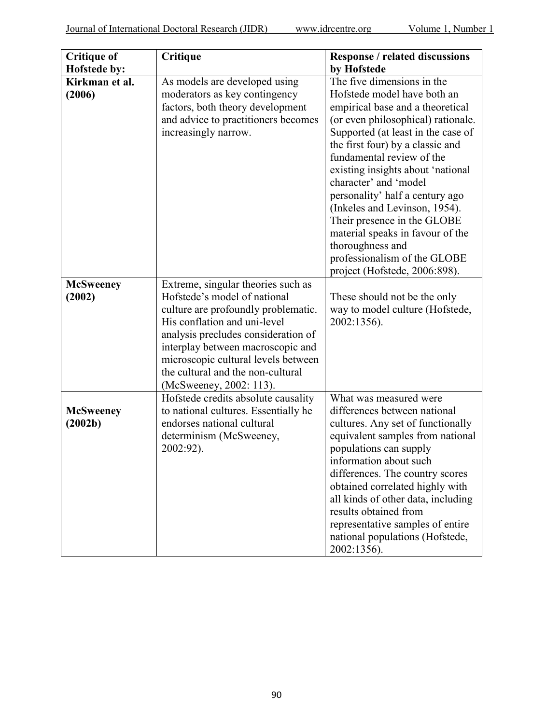|                    | Critique                             | <b>Response / related discussions</b> |
|--------------------|--------------------------------------|---------------------------------------|
| <b>Critique of</b> |                                      |                                       |
| Hofstede by:       |                                      | by Hofstede                           |
| Kirkman et al.     | As models are developed using        | The five dimensions in the            |
| (2006)             | moderators as key contingency        | Hofstede model have both an           |
|                    | factors, both theory development     | empirical base and a theoretical      |
|                    | and advice to practitioners becomes  | (or even philosophical) rationale.    |
|                    | increasingly narrow.                 | Supported (at least in the case of    |
|                    |                                      | the first four) by a classic and      |
|                    |                                      | fundamental review of the             |
|                    |                                      | existing insights about 'national     |
|                    |                                      | character' and 'model                 |
|                    |                                      | personality' half a century ago       |
|                    |                                      | (Inkeles and Levinson, 1954).         |
|                    |                                      |                                       |
|                    |                                      | Their presence in the GLOBE           |
|                    |                                      | material speaks in favour of the      |
|                    |                                      | thoroughness and                      |
|                    |                                      | professionalism of the GLOBE          |
|                    |                                      | project (Hofstede, 2006:898).         |
| <b>McSweeney</b>   | Extreme, singular theories such as   |                                       |
| (2002)             | Hofstede's model of national         | These should not be the only          |
|                    | culture are profoundly problematic.  | way to model culture (Hofstede,       |
|                    | His conflation and uni-level         | 2002:1356).                           |
|                    | analysis precludes consideration of  |                                       |
|                    | interplay between macroscopic and    |                                       |
|                    | microscopic cultural levels between  |                                       |
|                    | the cultural and the non-cultural    |                                       |
|                    | (McSweeney, 2002: 113).              |                                       |
|                    | Hofstede credits absolute causality  | What was measured were                |
| <b>McSweeney</b>   | to national cultures. Essentially he | differences between national          |
| (2002b)            | endorses national cultural           | cultures. Any set of functionally     |
|                    | determinism (McSweeney,              | equivalent samples from national      |
|                    | 2002:92).                            | populations can supply                |
|                    |                                      | information about such                |
|                    |                                      | differences. The country scores       |
|                    |                                      | obtained correlated highly with       |
|                    |                                      | all kinds of other data, including    |
|                    |                                      | results obtained from                 |
|                    |                                      |                                       |
|                    |                                      | representative samples of entire      |
|                    |                                      | national populations (Hofstede,       |
|                    |                                      | 2002:1356).                           |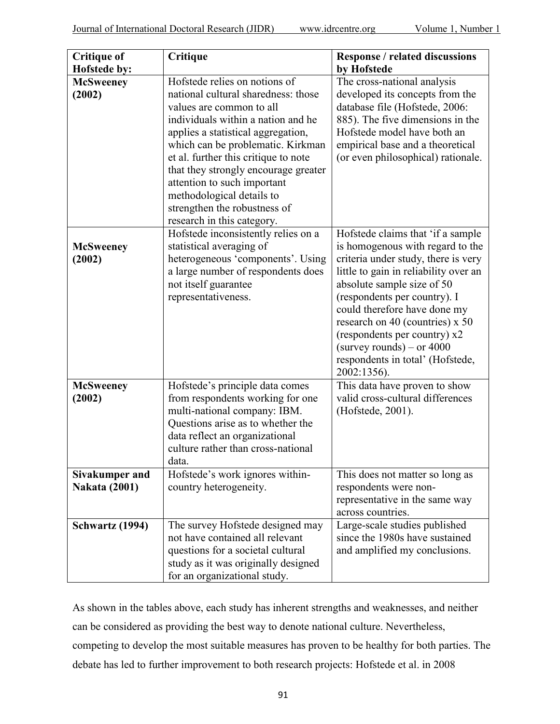| <b>Critique of</b>                            | Critique                                                                                                                                                                                                                                                                                                                                                                                                                    | <b>Response / related discussions</b>                                                                                                                                                                                                                                                                                                                                                                    |
|-----------------------------------------------|-----------------------------------------------------------------------------------------------------------------------------------------------------------------------------------------------------------------------------------------------------------------------------------------------------------------------------------------------------------------------------------------------------------------------------|----------------------------------------------------------------------------------------------------------------------------------------------------------------------------------------------------------------------------------------------------------------------------------------------------------------------------------------------------------------------------------------------------------|
| Hofstede by:                                  |                                                                                                                                                                                                                                                                                                                                                                                                                             | by Hofstede                                                                                                                                                                                                                                                                                                                                                                                              |
| <b>McSweeney</b><br>(2002)                    | Hofstede relies on notions of<br>national cultural sharedness: those<br>values are common to all<br>individuals within a nation and he<br>applies a statistical aggregation,<br>which can be problematic. Kirkman<br>et al. further this critique to note<br>that they strongly encourage greater<br>attention to such important<br>methodological details to<br>strengthen the robustness of<br>research in this category. | The cross-national analysis<br>developed its concepts from the<br>database file (Hofstede, 2006:<br>885). The five dimensions in the<br>Hofstede model have both an<br>empirical base and a theoretical<br>(or even philosophical) rationale.                                                                                                                                                            |
| <b>McSweeney</b><br>(2002)                    | Hofstede inconsistently relies on a<br>statistical averaging of<br>heterogeneous 'components'. Using<br>a large number of respondents does<br>not itself guarantee<br>representativeness.                                                                                                                                                                                                                                   | Hofstede claims that 'if a sample<br>is homogenous with regard to the<br>criteria under study, there is very<br>little to gain in reliability over an<br>absolute sample size of 50<br>(respondents per country). I<br>could therefore have done my<br>research on 40 (countries) x 50<br>(respondents per country) x2<br>(survey rounds) – or $4000$<br>respondents in total' (Hofstede,<br>2002:1356). |
| <b>McSweeney</b><br>(2002)                    | Hofstede's principle data comes<br>from respondents working for one<br>multi-national company: IBM.<br>Questions arise as to whether the<br>data reflect an organizational<br>culture rather than cross-national<br>data.                                                                                                                                                                                                   | This data have proven to show<br>valid cross-cultural differences<br>(Hofstede, 2001).                                                                                                                                                                                                                                                                                                                   |
| <b>Sivakumper and</b><br><b>Nakata (2001)</b> | Hofstede's work ignores within-<br>country heterogeneity.                                                                                                                                                                                                                                                                                                                                                                   | This does not matter so long as<br>respondents were non-<br>representative in the same way<br>across countries.                                                                                                                                                                                                                                                                                          |
| <b>Schwartz (1994)</b>                        | The survey Hofstede designed may<br>not have contained all relevant<br>questions for a societal cultural<br>study as it was originally designed<br>for an organizational study.                                                                                                                                                                                                                                             | Large-scale studies published<br>since the 1980s have sustained<br>and amplified my conclusions.                                                                                                                                                                                                                                                                                                         |

As shown in the tables above, each study has inherent strengths and weaknesses, and neither can be considered as providing the best way to denote national culture. Nevertheless, competing to develop the most suitable measures has proven to be healthy for both parties. The debate has led to further improvement to both research projects: Hofstede et al. in 2008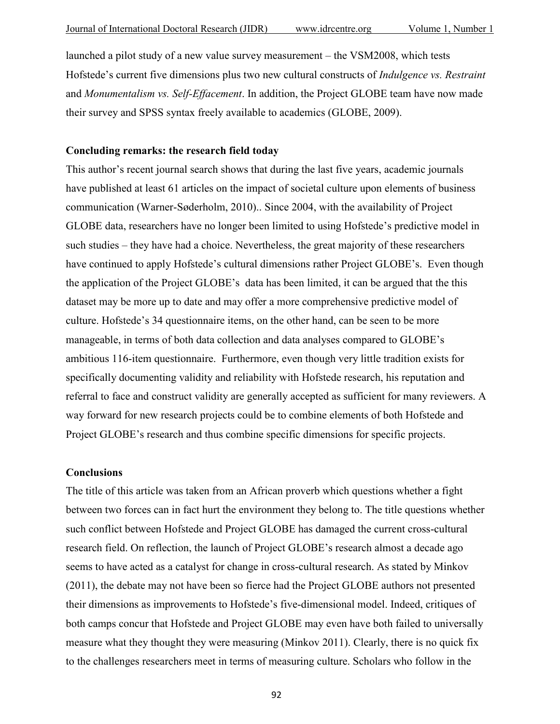launched a pilot study of a new value survey measurement – the VSM2008, which tests Hofstede's current five dimensions plus two new cultural constructs of *Indulgence vs. Restraint* and *Monumentalism vs. Self-Effacement*. In addition, the Project GLOBE team have now made their survey and SPSS syntax freely available to academics (GLOBE, 2009).

### **Concluding remarks: the research field today**

This author's recent journal search shows that during the last five years, academic journals have published at least 61 articles on the impact of societal culture upon elements of business communication (Warner-Søderholm, 2010).. Since 2004, with the availability of Project GLOBE data, researchers have no longer been limited to using Hofstede's predictive model in such studies – they have had a choice. Nevertheless, the great majority of these researchers have continued to apply Hofstede's cultural dimensions rather Project GLOBE's. Even though the application of the Project GLOBE's data has been limited, it can be argued that the this dataset may be more up to date and may offer a more comprehensive predictive model of culture. Hofstede's 34 questionnaire items, on the other hand, can be seen to be more manageable, in terms of both data collection and data analyses compared to GLOBE's ambitious 116-item questionnaire. Furthermore, even though very little tradition exists for specifically documenting validity and reliability with Hofstede research, his reputation and referral to face and construct validity are generally accepted as sufficient for many reviewers. A way forward for new research projects could be to combine elements of both Hofstede and Project GLOBE's research and thus combine specific dimensions for specific projects.

#### **Conclusions**

The title of this article was taken from an African proverb which questions whether a fight between two forces can in fact hurt the environment they belong to. The title questions whether such conflict between Hofstede and Project GLOBE has damaged the current cross-cultural research field. On reflection, the launch of Project GLOBE's research almost a decade ago seems to have acted as a catalyst for change in cross-cultural research. As stated by Minkov (2011), the debate may not have been so fierce had the Project GLOBE authors not presented their dimensions as improvements to Hofstede's five-dimensional model. Indeed, critiques of both camps concur that Hofstede and Project GLOBE may even have both failed to universally measure what they thought they were measuring (Minkov 2011). Clearly, there is no quick fix to the challenges researchers meet in terms of measuring culture. Scholars who follow in the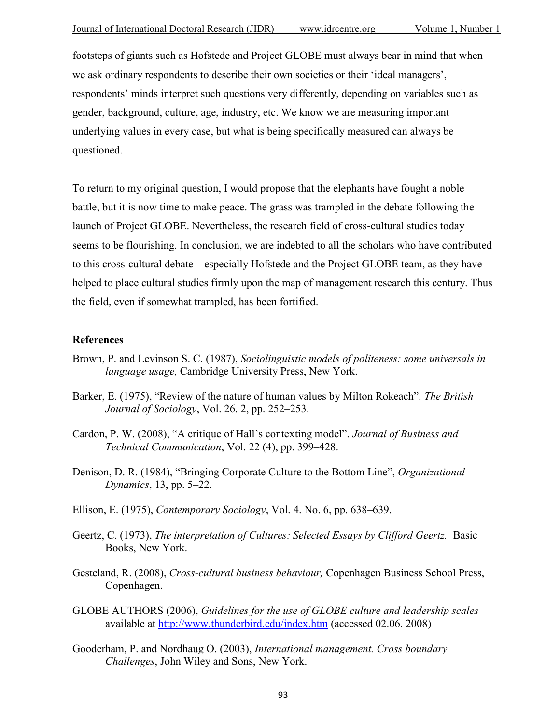footsteps of giants such as Hofstede and Project GLOBE must always bear in mind that when we ask ordinary respondents to describe their own societies or their 'ideal managers', respondents' minds interpret such questions very differently, depending on variables such as gender, background, culture, age, industry, etc. We know we are measuring important underlying values in every case, but what is being specifically measured can always be questioned.

To return to my original question, I would propose that the elephants have fought a noble battle, but it is now time to make peace. The grass was trampled in the debate following the launch of Project GLOBE. Nevertheless, the research field of cross-cultural studies today seems to be flourishing. In conclusion, we are indebted to all the scholars who have contributed to this cross-cultural debate – especially Hofstede and the Project GLOBE team, as they have helped to place cultural studies firmly upon the map of management research this century. Thus the field, even if somewhat trampled, has been fortified.

#### **References**

- Brown, P. and Levinson S. C. (1987), *Sociolinguistic models of politeness: some universals in language usage,* Cambridge University Press, New York.
- Barker, E. (1975), "Review of the nature of human values by Milton Rokeach". *The British Journal of Sociology*, Vol. 26. 2, pp. 252–253.
- Cardon, P. W. (2008), "A critique of Hall's contexting model". *Journal of Business and Technical Communication*, Vol. 22 (4), pp. 399–428.
- Denison, D. R. (1984), "Bringing Corporate Culture to the Bottom Line", *Organizational Dynamics*, 13, pp. 5–22.
- Ellison, E. (1975), *Contemporary Sociology*, Vol. 4. No. 6, pp. 638–639.
- Geertz, C. (1973), *The interpretation of Cultures: Selected Essays by Clifford Geertz.* Basic Books, New York.
- Gesteland, R. (2008), *Cross-cultural business behaviour,* Copenhagen Business School Press, Copenhagen.
- GLOBE AUTHORS (2006), *Guidelines for the use of GLOBE culture and leadership scales*  available at <http://www.thunderbird.edu/index.htm> (accessed 02.06. 2008)
- Gooderham, P. and Nordhaug O. (2003), *International management. Cross boundary Challenges*, John Wiley and Sons, New York.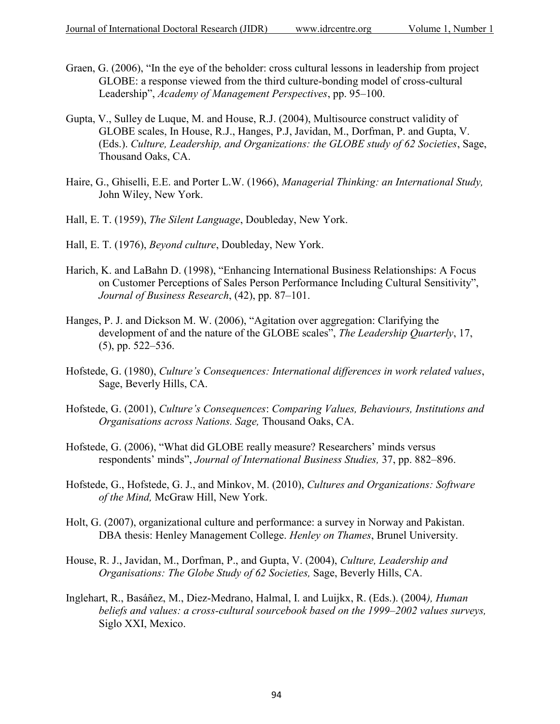- Graen, G. (2006), "In the eye of the beholder: cross cultural lessons in leadership from project GLOBE: a response viewed from the third culture-bonding model of cross-cultural Leadership", *Academy of Management Perspectives*, pp. 95–100.
- Gupta, V., Sulley de Luque, M. and House, R.J. (2004), Multisource construct validity of GLOBE scales, In House, R.J., Hanges, P.J, Javidan, M., Dorfman, P. and Gupta, V. (Eds.). *Culture, Leadership, and Organizations: the GLOBE study of 62 Societies*, Sage, Thousand Oaks, CA.
- Haire, G., Ghiselli, E.E. and Porter L.W. (1966), *Managerial Thinking: an International Study,* John Wiley, New York.
- Hall, E. T. (1959), *The Silent Language*, Doubleday, New York.
- Hall, E. T. (1976), *Beyond culture*, Doubleday, New York.
- Harich, K. and LaBahn D. (1998), "Enhancing International Business Relationships: A Focus on Customer Perceptions of Sales Person Performance Including Cultural Sensitivity", *Journal of Business Research*, (42), pp. 87–101.
- Hanges, P. J. and Dickson M. W. (2006), "Agitation over aggregation: Clarifying the development of and the nature of the GLOBE scales", *The Leadership Quarterly*, 17, (5), pp. 522–536.
- Hofstede, G. (1980), *Culture's Consequences: International differences in work related values*, Sage, Beverly Hills, CA.
- Hofstede, G. (2001), *Culture's Consequences*: *Comparing Values, Behaviours, Institutions and Organisations across Nations. Sage,* Thousand Oaks, CA.
- Hofstede, G. (2006), "What did GLOBE really measure? Researchers' minds versus respondents' minds", *Journal of International Business Studies,* 37, pp. 882–896.
- Hofstede, G., Hofstede, G. J., and Minkov, M. (2010), *Cultures and Organizations: Software of the Mind,* McGraw Hill, New York.
- Holt, G. (2007), organizational culture and performance: a survey in Norway and Pakistan. DBA thesis: Henley Management College. *Henley on Thames*, Brunel University.
- House, R. J., Javidan, M., Dorfman, P., and Gupta, V. (2004), *Culture, Leadership and Organisations: The Globe Study of 62 Societies,* Sage, Beverly Hills, CA.
- Inglehart, R., Basáñez, M., Diez-Medrano, Halmal, I. and Luijkx, R. (Eds.). (2004*), Human beliefs and values: a cross-cultural sourcebook based on the 1999–2002 values surveys,* Siglo XXI, Mexico.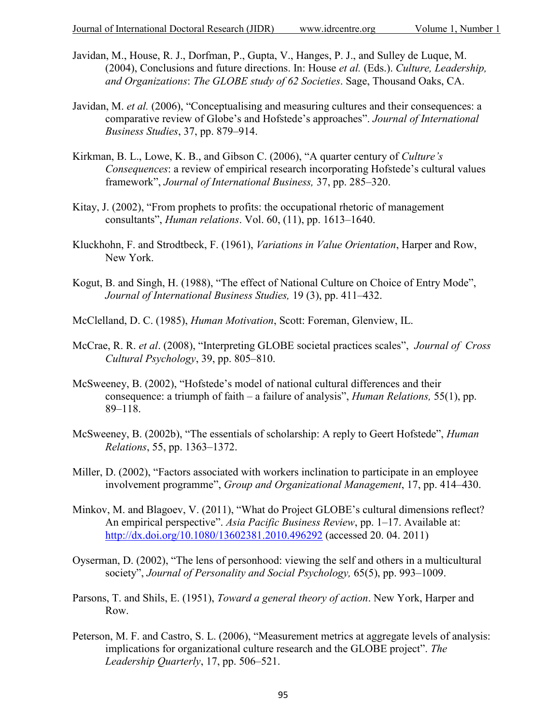- Javidan, M., House, R. J., Dorfman, P., Gupta, V., Hanges, P. J., and Sulley de Luque, M. (2004), Conclusions and future directions. In: House *et al.* (Eds.). *Culture, Leadership, and Organizations*: *The GLOBE study of 62 Societies*. Sage, Thousand Oaks, CA.
- Javidan, M. *et al.* (2006), "Conceptualising and measuring cultures and their consequences: a comparative review of Globe's and Hofstede's approaches". *Journal of International Business Studies*, 37, pp. 879–914.
- Kirkman, B. L., Lowe, K. B., and Gibson C. (2006), "A quarter century of *Culture's Consequences*: a review of empirical research incorporating Hofstede's cultural values framework", *Journal of International Business,* 37, pp. 285–320.
- Kitay, J. (2002), "From prophets to profits: the occupational rhetoric of management consultants", *Human relations*. Vol. 60, (11), pp. 1613–1640.
- Kluckhohn, F. and Strodtbeck, F. (1961), *Variations in Value Orientation*, Harper and Row, New York.
- Kogut, B. and Singh, H. (1988), "The effect of National Culture on Choice of Entry Mode", *Journal of International Business Studies,* 19 (3), pp. 411–432.
- McClelland, D. C. (1985), *Human Motivation*, Scott: Foreman, Glenview, IL.
- McCrae, R. R. *et al*. (2008), "Interpreting GLOBE societal practices scales", *Journal of Cross Cultural Psychology*, 39, pp. 805–810.
- McSweeney, B. (2002), "Hofstede's model of national cultural differences and their consequence: a triumph of faith – a failure of analysis", *Human Relations,* 55(1), pp. 89–118.
- McSweeney, B. (2002b), "The essentials of scholarship: A reply to Geert Hofstede", *Human Relations*, 55, pp. 1363–1372.
- Miller, D. (2002), "Factors associated with workers inclination to participate in an employee involvement programme", *Group and Organizational Management*, 17, pp. 414–430.
- Minkov, M. and Blagoev, V. (2011), "What do Project GLOBE's cultural dimensions reflect? An empirical perspective". *Asia Pacific Business Review*, pp. 1–17. Available at: <http://dx.doi.org/10.1080/13602381.2010.496292> (accessed 20. 04. 2011)
- Oyserman, D. (2002), "The lens of personhood: viewing the self and others in a multicultural society", *Journal of Personality and Social Psychology,* 65(5), pp. 993–1009.
- Parsons, T. and Shils, E. (1951), *Toward a general theory of action*. New York, Harper and Row.
- Peterson, M. F. and Castro, S. L. (2006), "Measurement metrics at aggregate levels of analysis: implications for organizational culture research and the GLOBE project". *The Leadership Quarterly*, 17, pp. 506–521.